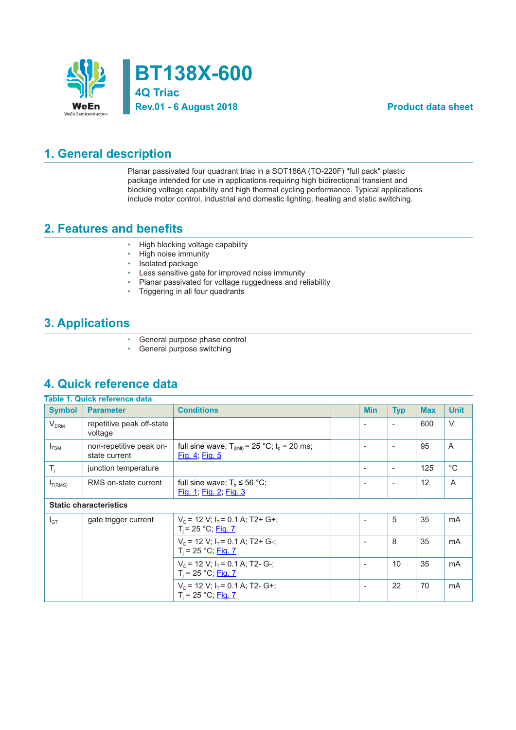

**BT138X-600 4Q Triac**

#### **Rev.01 - 6 August 2018 Product data sheet**

### **1. General description**

Planar passivated four quadrant triac in a SOT186A (TO-220F) "full pack" plastic package intended for use in applications requiring high bidirectional transient and blocking voltage capability and high thermal cycling performance. Typical applications include motor control, industrial and domestic lighting, heating and static switching.

### **2. Features and benefits**

- High blocking voltage capability
- High noise immunity<br>• Isolated package
- 
- Isolated package<br>• Less sensitive qa Less sensitive gate for improved noise immunity
- Planar passivated for voltage ruggedness and reliability
- Triggering in all four quadrants

### **3. Applications**

- General purpose phase control
- General purpose switching

### **4. Quick reference data**

| <b>Symbol</b> | <b>Parameter</b>                         | <b>Conditions</b>                                                             | <b>Min</b>               | <b>Typ</b>               | <b>Max</b> | <b>Unit</b> |
|---------------|------------------------------------------|-------------------------------------------------------------------------------|--------------------------|--------------------------|------------|-------------|
| $V_{DRM}$     | repetitive peak off-state<br>voltage     |                                                                               |                          | $\blacksquare$           | 600        | $\vee$      |
| $I_{TSM}$     | non-repetitive peak on-<br>state current | full sine wave; $T_{i(int)} = 25$ °C; $t_p = 20$ ms;<br><u>Fig. 4; Fig. 5</u> | $\overline{\phantom{a}}$ | $\overline{\phantom{a}}$ | 95         | A           |
| $T_i$         | junction temperature                     |                                                                               | $\overline{\phantom{a}}$ | $\overline{\phantom{a}}$ | 125        | $^{\circ}C$ |
| $I_{T(RMS)}$  | RMS on-state current                     | full sine wave; $T_h \le 56$ °C;<br><u>Fig. 1, Fig. 2, Fig. 3</u>             |                          | $\blacksquare$           | 12         | A           |
|               | <b>Static characteristics</b>            |                                                                               |                          |                          |            |             |
| $I_{GT}$      | gate trigger current                     | $V_p$ = 12 V; I <sub>T</sub> = 0.1 A; T2+ G+;<br>$T_i = 25 °C;$ Fig. 7        |                          | 5                        | 35         | mA          |
|               |                                          | $V_p$ = 12 V; $I_T$ = 0.1 A; T2+ G-;<br>$T_i = 25 °C;$ Fig. 7                 |                          | 8                        | 35         | mA          |
|               |                                          | $V_p$ = 12 V; $I_r$ = 0.1 A; T2- G-;<br>$T_i = 25 °C;$ Fig. 7                 |                          | 10                       | 35         | mA          |
|               |                                          | $V_D$ = 12 V; $I_T$ = 0.1 A; T2- G+;<br>$T_i = 25 °C;$ Fig. 7                 |                          | 22                       | 70         | mA          |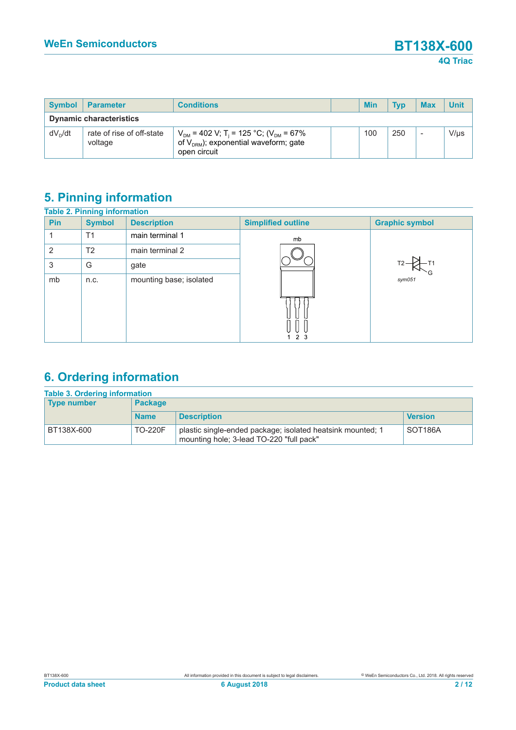| <b>Symbol</b> | <b>Parameter</b>                     | <b>Conditions</b>                                                                                                               | <b>Min</b> | Tvp | <b>Max</b> | Unit      |
|---------------|--------------------------------------|---------------------------------------------------------------------------------------------------------------------------------|------------|-----|------------|-----------|
|               | <b>Dynamic characteristics</b>       |                                                                                                                                 |            |     |            |           |
| $dV_p/dt$     | rate of rise of off-state<br>voltage | $V_{DM}$ = 402 V; T <sub>i</sub> = 125 °C; (V <sub>DM</sub> = 67%<br>of $V_{DRM}$ ); exponential waveform; gate<br>open circuit | 100        | 250 | $\sim$     | $V/\mu s$ |

# **5. Pinning information**

| <b>Table 2. Pinning information</b> |                |                         |                           |                       |  |  |  |
|-------------------------------------|----------------|-------------------------|---------------------------|-----------------------|--|--|--|
| <b>Pin</b>                          | <b>Symbol</b>  | <b>Description</b>      | <b>Simplified outline</b> | <b>Graphic symbol</b> |  |  |  |
|                                     | T <sub>1</sub> | main terminal 1         | mb                        |                       |  |  |  |
| $\overline{2}$                      | T <sub>2</sub> | main terminal 2         |                           |                       |  |  |  |
| 3                                   | G              | gate                    |                           |                       |  |  |  |
| mb                                  | n.c.           | mounting base; isolated |                           | sym051                |  |  |  |
|                                     |                |                         |                           |                       |  |  |  |
|                                     |                |                         | 2 <sub>3</sub>            |                       |  |  |  |

# **6. Ordering information**

| <b>Table 3. Ordering information</b> |                |                                                                                                        |                      |  |  |  |
|--------------------------------------|----------------|--------------------------------------------------------------------------------------------------------|----------------------|--|--|--|
| Type number                          | <b>Package</b> |                                                                                                        |                      |  |  |  |
|                                      | <b>Name</b>    | <b>Description</b>                                                                                     | <b>Version</b>       |  |  |  |
| BT138X-600                           | <b>TO-220F</b> | plastic single-ended package; isolated heatsink mounted; 1<br>mounting hole; 3-lead TO-220 "full pack" | SOT <sub>186</sub> A |  |  |  |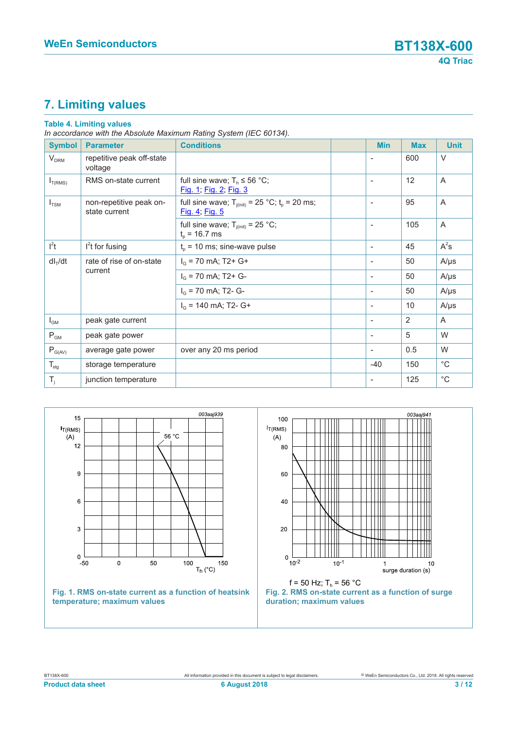# **7. Limiting values**

#### **Table 4. Limiting values**

*In accordance with the Absolute Maximum Rating System (IEC 60134).*

| <b>Symbol</b> | <b>Parameter</b>                         | <b>Conditions</b>                                                       | <b>Min</b>               | <b>Max</b> | <b>Unit</b>  |
|---------------|------------------------------------------|-------------------------------------------------------------------------|--------------------------|------------|--------------|
| $V_{DRM}$     | repetitive peak off-state<br>voltage     |                                                                         |                          | 600        | $\vee$       |
| $I_{T(RMS)}$  | RMS on-state current                     | full sine wave; $T_h \le 56 °C$ ;<br>Fig. 1, Fig. 2, Fig. 3             | $\overline{\phantom{a}}$ | 12         | A            |
| $I_{TSM}$     | non-repetitive peak on-<br>state current | full sine wave; $T_{j(int)} = 25 °C$ ; $t_p = 20$ ms;<br>Fig. 4; Fig. 5 | $\overline{\phantom{a}}$ | 95         | A            |
|               |                                          | full sine wave; $T_{j(int)} = 25$ °C;<br>$t_{p}$ = 16.7 ms              |                          | 105        | A            |
| $l^2t$        | $l2t$ for fusing                         | $t_{p}$ = 10 ms; sine-wave pulse                                        | $\overline{\phantom{a}}$ | 45         | $A^2s$       |
| $dl_T/dt$     | rate of rise of on-state                 | $I_G$ = 70 mA; T2+ G+                                                   | $\overline{\phantom{a}}$ | 50         | $A/\mu s$    |
|               | current                                  | $I_G$ = 70 mA; T2+ G-                                                   | $\overline{\phantom{a}}$ | 50         | $A/\mu s$    |
|               |                                          | $I_G$ = 70 mA; T2- G-                                                   | $\overline{\phantom{a}}$ | 50         | $A/\mu s$    |
|               |                                          | $I_G$ = 140 mA; T2- G+                                                  | $\overline{\phantom{a}}$ | 10         | $A/\mu s$    |
| $I_{GM}$      | peak gate current                        |                                                                         | $\overline{\phantom{a}}$ | 2          | A            |
| $P_{GM}$      | peak gate power                          |                                                                         |                          | 5          | W            |
| $P_{G(AV)}$   | average gate power                       | over any 20 ms period                                                   | $\overline{\phantom{a}}$ | 0.5        | W            |
| $T_{\rm stg}$ | storage temperature                      |                                                                         | $-40$                    | 150        | $^{\circ}$ C |
| $T_i$         | junction temperature                     |                                                                         | $\overline{\phantom{a}}$ | 125        | $^{\circ}C$  |



 **Fig. 1. RMS on-state current as a function of heatsink temperature; maximum values**



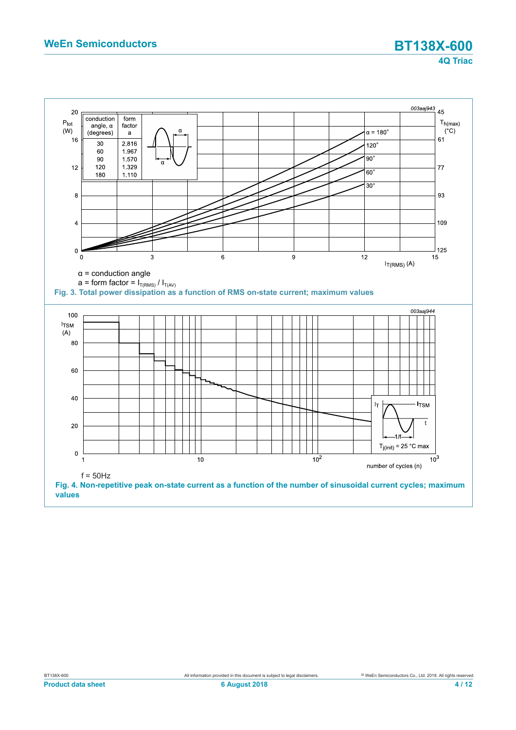**4Q Triac**

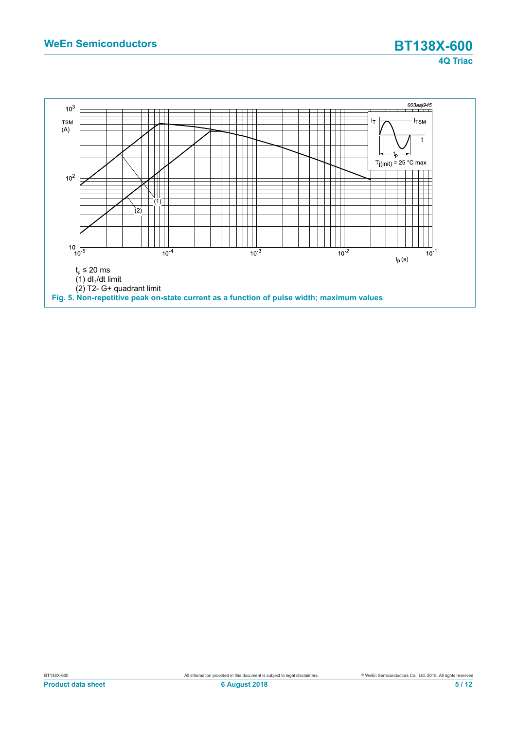

**4Q Triac**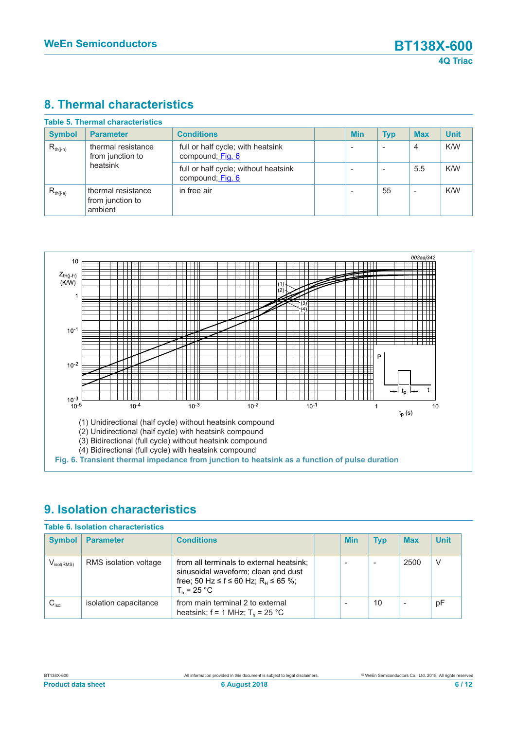# **8. Thermal characteristics**

|               | <b>Table 5. Thermal characteristics</b>           |                                                          |            |            |            |             |
|---------------|---------------------------------------------------|----------------------------------------------------------|------------|------------|------------|-------------|
| <b>Symbol</b> | <b>Parameter</b>                                  | <b>Conditions</b>                                        | <b>Min</b> | <b>Typ</b> | <b>Max</b> | <b>Unit</b> |
| $R_{th(i-h)}$ | thermal resistance<br>from junction to            | full or half cycle; with heatsink<br>compound; Fig. 6    |            |            | 4          | K/W         |
|               | heatsink                                          | full or half cycle; without heatsink<br>compound; Fig. 6 |            |            | 5.5        | K/W         |
| $R_{th(i-a)}$ | thermal resistance<br>from junction to<br>ambient | in free air                                              |            | 55         |            | K/W         |



### **9. Isolation characteristics**

| <b>Symbol</b>                              | <b>Parameter</b>      | <b>Conditions</b>                                                                                                                          | <b>Min</b> | Typ | <b>Max</b> | <b>Unit</b> |
|--------------------------------------------|-----------------------|--------------------------------------------------------------------------------------------------------------------------------------------|------------|-----|------------|-------------|
| $\mathsf{V}_{\mathsf{isol}(\mathsf{RMS})}$ | RMS isolation voltage | from all terminals to external heatsink;<br>sinusoidal waveform; clean and dust<br>free; 50 Hz ≤ f ≤ 60 Hz; $R_H$ ≤ 65 %;<br>$T_b = 25 °C$ |            |     | 2500       | V           |
| $C_{\rm isol}$                             | isolation capacitance | from main terminal 2 to external<br>heatsink; $f = 1$ MHz; $Tb = 25$ °C                                                                    |            | 10  |            | pF          |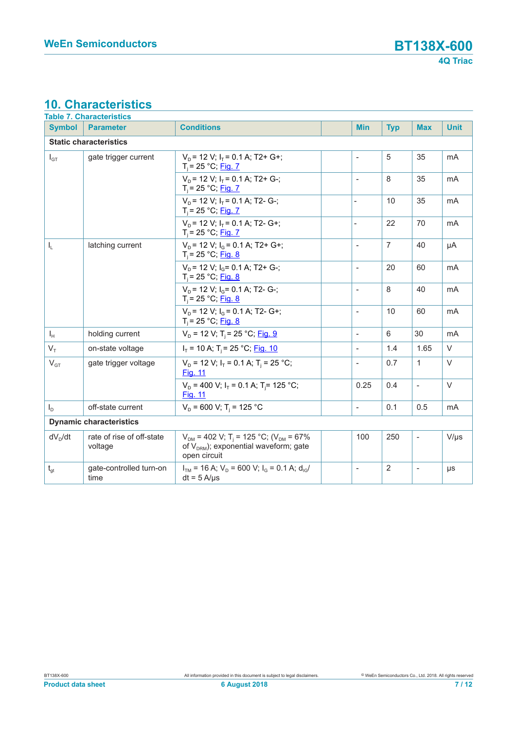# **10. Characteristics**

|               | Table 7. Characteristics             |                                                                                                                                 |                          |                |                              |             |
|---------------|--------------------------------------|---------------------------------------------------------------------------------------------------------------------------------|--------------------------|----------------|------------------------------|-------------|
| <b>Symbol</b> | <b>Parameter</b>                     | <b>Conditions</b>                                                                                                               | <b>Min</b>               | <b>Typ</b>     | <b>Max</b>                   | <b>Unit</b> |
|               | <b>Static characteristics</b>        |                                                                                                                                 |                          |                |                              |             |
| $I_{GT}$      | gate trigger current                 | $V_p$ = 12 V; $I_r$ = 0.1 A; T2+ G+;<br>$T_i = 25 °C;$ Fig. 7                                                                   | $\overline{\phantom{a}}$ | 5              | 35                           | mA          |
|               |                                      | $V_p$ = 12 V; $I_r$ = 0.1 A; T2+ G-;<br>$T_i = 25 °C;$ Fig. 7                                                                   | $\overline{\phantom{a}}$ | 8              | 35                           | mA          |
|               |                                      | $V_p$ = 12 V; $I_r$ = 0.1 A; T2- G-;<br>$T_i = 25 °C;$ Fig. 7                                                                   |                          | 10             | 35                           | mA          |
|               |                                      | $V_p$ = 12 V; $I_r$ = 0.1 A; T2- G+;<br>$T_i = 25 °C;$ Fig. 7                                                                   | $\overline{\phantom{0}}$ | 22             | 70                           | mA          |
| $I_L$         | latching current                     | $V_p$ = 12 V; $I_q$ = 0.1 A; T2+ G+;<br>$T_i = 25 °C;$ Fig. 8                                                                   | $\overline{a}$           | $\overline{7}$ | 40                           | μA          |
|               |                                      | $V_p$ = 12 V; $I_q$ = 0.1 A; T2+ G-;<br>$T_i = 25 °C;$ Fig. 8                                                                   | $\overline{a}$           | 20             | 60                           | mA          |
|               |                                      | $V_p = 12 V$ ; $I_q = 0.1 A$ ; T2- G-;<br>$T_i = 25 °C;$ Fig. 8                                                                 | $\overline{\phantom{a}}$ | 8              | 40                           | mA          |
|               |                                      | $V_p$ = 12 V; $I_q$ = 0.1 A; T2- G+;<br>T <sub>i</sub> = 25 °C; <b>Fig. 8</b>                                                   | $\blacksquare$           | 10             | 60                           | mA          |
| $I_{H}$       | holding current                      | $V_{\text{D}}$ = 12 V; T <sub>i</sub> = 25 °C; <u>Fig. 9</u>                                                                    | $\mathbf{r}$             | 6              | 30                           | mA          |
| $V_{\tau}$    | on-state voltage                     | $I_T$ = 10 A; T <sub>i</sub> = 25 °C; Fig. 10                                                                                   | $\mathbf{r}$             | 1.4            | 1.65                         | $\vee$      |
| $V_{GT}$      | gate trigger voltage                 | $V_D$ = 12 V; $I_T$ = 0.1 A; T <sub>i</sub> = 25 °C;<br><b>Fig. 11</b>                                                          | $\mathbf{r}$             | 0.7            | $\mathbf{1}$                 | $\vee$      |
|               |                                      | $V_D$ = 400 V; $I_T$ = 0.1 A; T <sub>i</sub> = 125 °C;<br><b>Fig. 11</b>                                                        | 0.25                     | 0.4            | $\overline{a}$               | $\vee$      |
| $I_D$         | off-state current                    | $V_D$ = 600 V; T <sub>i</sub> = 125 °C                                                                                          | $\overline{a}$           | 0.1            | 0.5                          | mA          |
|               | <b>Dynamic characteristics</b>       |                                                                                                                                 |                          |                |                              |             |
| $dV_D/dt$     | rate of rise of off-state<br>voltage | $V_{DM}$ = 402 V; T <sub>i</sub> = 125 °C; (V <sub>DM</sub> = 67%<br>of $V_{DRM}$ ); exponential waveform; gate<br>open circuit | 100                      | 250            | $\overline{\phantom{a}}$     | $V/\mu s$   |
| $t_{gt}$      | gate-controlled turn-on<br>time      | $ITM$ = 16 A; $VD$ = 600 V; $IG$ = 0.1 A; $dIG$ /<br>$dt = 5 A/\mu s$                                                           | $\overline{\phantom{a}}$ | 2              | $\qquad \qquad \blacksquare$ | μs          |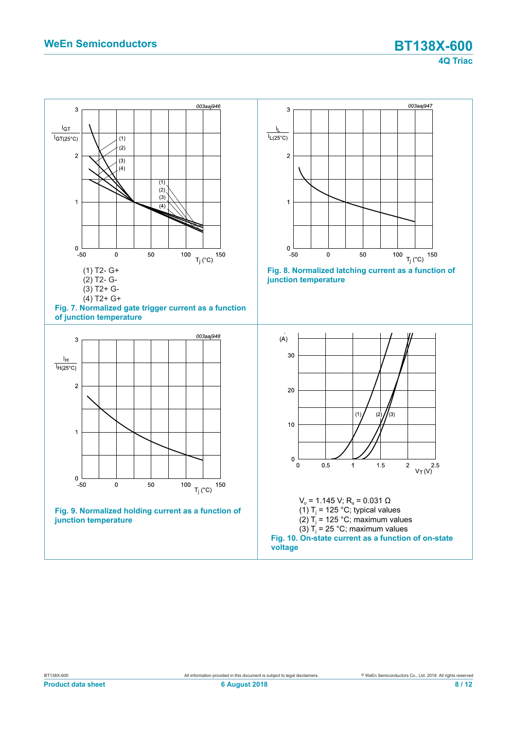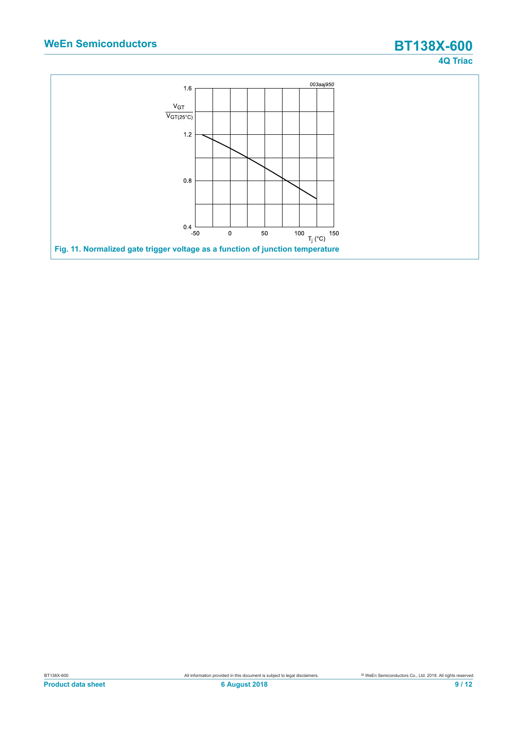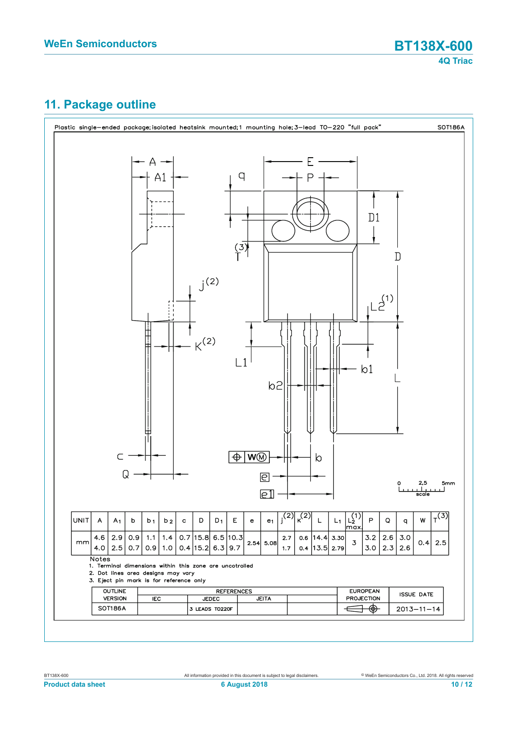# **11. Package outline**

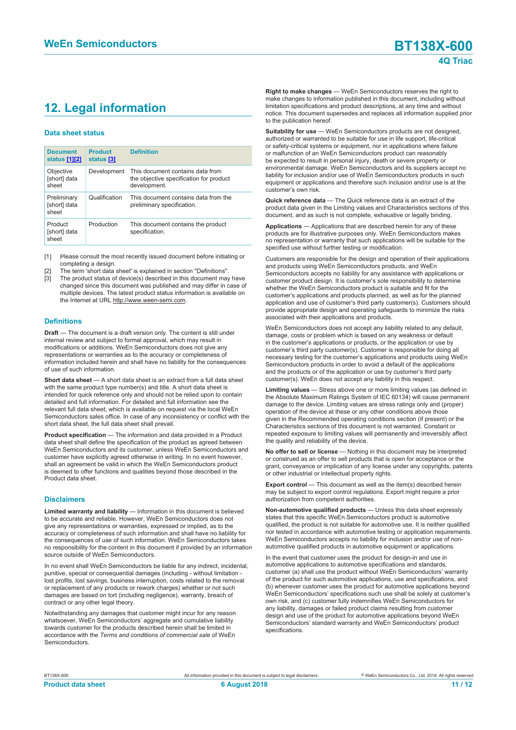# **12. Legal information**

#### **Data sheet status**

| <b>Document</b><br>status [1][2]     | <b>Product</b><br>status [3] | <b>Definition</b>                                                                           |
|--------------------------------------|------------------------------|---------------------------------------------------------------------------------------------|
| Objective<br>[short] data<br>sheet   | Development                  | This document contains data from<br>the objective specification for product<br>development. |
| Preliminary<br>[short] data<br>sheet | Qualification                | This document contains data from the<br>preliminary specification.                          |
| Product<br>[short] data<br>sheet     | Production                   | This document contains the product<br>specification.                                        |

[1] Please consult the most recently issued document before initiating or completing a design.

- [2] The term 'short data sheet' is explained in section "Definitions".
- [3] The product status of device(s) described in this document may have changed since this document was published and may differ in case of multiple devices. The latest product status information is available on the Internet at URL http://www.ween-semi.com.

#### **Definitions**

**Draft** — The document is a draft version only. The content is still under internal review and subject to formal approval, which may result in modifications or additions. WeEn Semiconductors does not give any representations or warranties as to the accuracy or completeness of information included herein and shall have no liability for the consequences of use of such information.

**Short data sheet** — A short data sheet is an extract from a full data sheet with the same product type number(s) and title. A short data sheet is intended for quick reference only and should not be relied upon to contain detailed and full information. For detailed and full information see the relevant full data sheet, which is available on request via the local WeEn Semiconductors sales office. In case of any inconsistency or conflict with the short data sheet, the full data sheet shall prevail.

**Product specification** — The information and data provided in a Product data sheet shall define the specification of the product as agreed between WeEn Semiconductors and its customer, unless WeEn Semiconductors and customer have explicitly agreed otherwise in writing. In no event however, shall an agreement be valid in which the WeEn Semiconductors product is deemed to offer functions and qualities beyond those described in the Product data sheet.

#### **Disclaimers**

**Limited warranty and liability** — Information in this document is believed to be accurate and reliable. However, WeEn Semiconductors does not give any representations or warranties, expressed or implied, as to the accuracy or completeness of such information and shall have no liability for the consequences of use of such information. WeEn Semiconductors takes no responsibility for the content in this document if provided by an information source outside of WeEn Semiconductors.

In no event shall WeEn Semiconductors be liable for any indirect, incidental, punitive, special or consequential damages (including - without limitation lost profits, lost savings, business interruption, costs related to the removal or replacement of any products or rework charges) whether or not such damages are based on tort (including negligence), warranty, breach of contract or any other legal theory.

Notwithstanding any damages that customer might incur for any reason whatsoever, WeEn Semiconductors' aggregate and cumulative liability towards customer for the products described herein shall be limited in accordance with the *Terms and conditions of commercial sale* of WeEn Semiconductors.

**Right to make changes** — WeEn Semiconductors reserves the right to make changes to information published in this document, including without limitation specifications and product descriptions, at any time and without notice. This document supersedes and replaces all information supplied prior to the publication hereof.

**Suitability for use** — WeEn Semiconductors products are not designed, authorized or warranted to be suitable for use in life support, life-critical or safety-critical systems or equipment, nor in applications where failure or malfunction of an WeEn Semiconductors product can reasonably be expected to result in personal injury, death or severe property or environmental damage. WeEn Semiconductors and its suppliers accept no liability for inclusion and/or use of WeEn Semiconductors products in such equipment or applications and therefore such inclusion and/or use is at the customer's own risk.

**Quick reference data** — The Quick reference data is an extract of the product data given in the Limiting values and Characteristics sections of this document, and as such is not complete, exhaustive or legally binding.

**Applications** — Applications that are described herein for any of these products are for illustrative purposes only. WeEn Semiconductors makes no representation or warranty that such applications will be suitable for the specified use without further testing or modification.

Customers are responsible for the design and operation of their applications and products using WeEn Semiconductors products, and WeEn Semiconductors accepts no liability for any assistance with applications or customer product design. It is customer's sole responsibility to determine whether the WeEn Semiconductors product is suitable and fit for the customer's applications and products planned, as well as for the planned application and use of customer's third party customer(s). Customers should provide appropriate design and operating safeguards to minimize the risks associated with their applications and products.

WeEn Semiconductors does not accept any liability related to any default, damage, costs or problem which is based on any weakness or default in the customer's applications or products, or the application or use by customer's third party customer(s). Customer is responsible for doing all necessary testing for the customer's applications and products using WeEn Semiconductors products in order to avoid a default of the applications and the products or of the application or use by customer's third party customer(s). WeEn does not accept any liability in this respect.

**Limiting values** — Stress above one or more limiting values (as defined in the Absolute Maximum Ratings System of IEC 60134) will cause permanent damage to the device. Limiting values are stress ratings only and (proper) operation of the device at these or any other conditions above those given in the Recommended operating conditions section (if present) or the Characteristics sections of this document is not warranted. Constant or repeated exposure to limiting values will permanently and irreversibly affect the quality and reliability of the device.

**No offer to sell or license** — Nothing in this document may be interpreted or construed as an offer to sell products that is open for acceptance or the grant, conveyance or implication of any license under any copyrights, patents or other industrial or intellectual property rights.

**Export control** — This document as well as the item(s) described herein may be subject to export control regulations. Export might require a prior authorization from competent authorities.

**Non-automotive qualified products** — Unless this data sheet expressly states that this specific WeEn Semiconductors product is automotive qualified, the product is not suitable for automotive use. It is neither qualified nor tested in accordance with automotive testing or application requirements. WeEn Semiconductors accepts no liability for inclusion and/or use of nonautomotive qualified products in automotive equipment or applications.

In the event that customer uses the product for design-in and use in automotive applications to automotive specifications and standards, customer (a) shall use the product without WeEn Semiconductors' warranty of the product for such automotive applications, use and specifications, and (b) whenever customer uses the product for automotive applications beyond WeEn Semiconductors' specifications such use shall be solely at customer's own risk, and (c) customer fully indemnifies WeEn Semiconductors for any liability, damages or failed product claims resulting from customer design and use of the product for automotive applications beyond WeEn Semiconductors' standard warranty and WeEn Semiconductors' product specifications.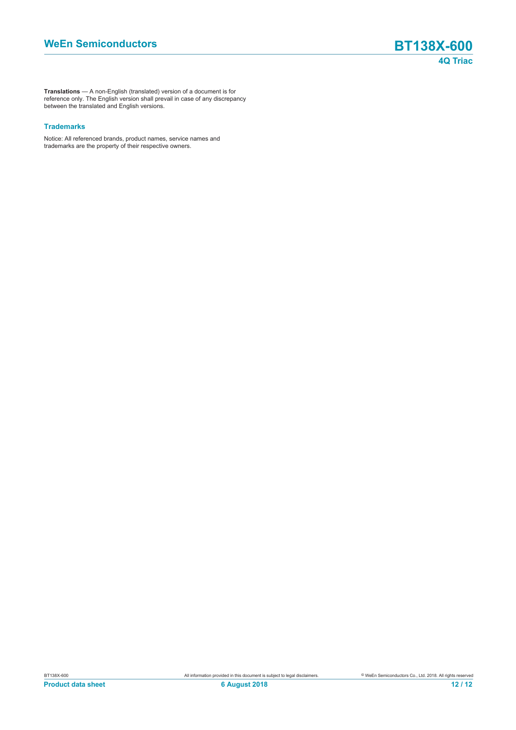**Translations** — A non-English (translated) version of a document is for reference only. The English version shall prevail in case of any discrepancy between the translated and English versions.

#### **Trademarks**

Notice: All referenced brands, product names, service names and trademarks are the property of their respective owners.